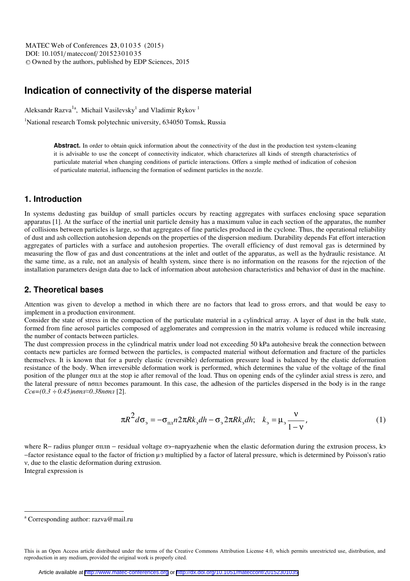DOI:  $10.1051/m \text{ at } 20152301035$ -<sup>C</sup> Owned by the authors, published by EDP Sciences, 2015 MATEC Web of Conferences 23, 01035 (2015)

# **Indication of connectivity of the disperse material**

Aleksandr Razva $^{1a}$ , Michail Vasilevsky<sup>1</sup> and Vladimir Rykov<sup>1</sup>

<sup>1</sup>National research Tomsk polytechnic university, 634050 Tomsk, Russia

**Abstract.** In order to obtain quick information about the connectivity of the dust in the production test system-cleaning it is advisable to use the concept of connectivity indicator, which characterizes all kinds of strength characteristics of particulate material when changing conditions of particle interactions. Offers a simple method of indication of cohesion of particulate material, influencing the formation of sediment particles in the nozzle.

### **1. Introduction**

In systems dedusting gas buildup of small particles occurs by reacting aggregates with surfaces enclosing space separation apparatus [1]. At the surface of the inertial unit particle density has a maximum value in each section of the apparatus, the number of collisions between particles is large, so that aggregates of fine particles produced in the cyclone. Thus, the operational reliability of dust and ash collection autohesion depends on the properties of the dispersion medium. Durability depends Fat effort interaction aggregates of particles with a surface and autohesion properties. The overall efficiency of dust removal gas is determined by measuring the flow of gas and dust concentrations at the inlet and outlet of the apparatus, as well as the hydraulic resistance. At the same time, as a rule, not an analysis of health system, since there is no information on the reasons for the rejection of the installation parameters design data due to lack of information about autohesion characteristics and behavior of dust in the machine.

#### **2. Theoretical bases**

Attention was given to develop a method in which there are no factors that lead to gross errors, and that would be easy to implement in a production environment.

Consider the state of stress in the compaction of the particulate material in a cylindrical array. A layer of dust in the bulk state, formed from fine aerosol particles composed of agglomerates and compression in the matrix volume is reduced while increasing the number of contacts between particles.

The dust compression process in the cylindrical matrix under load not exceeding 50 kPa autohesive break the connection between contacts new particles are formed between the particles, is compacted material without deformation and fracture of the particles themselves. It is known that for a purely elastic (reversible) deformation pressure load is balanced by the elastic deformation resistance of the body. When irreversible deformation work is performed, which determines the value of the voltage of the final position of the plunger  $\sigma$ n at the stop ie after removal of the load. Thus on opening ends of the cylinder axial stress is zero, and the lateral pressure of nonn becomes paramount. In this case, the adhesion of the particles dispersed in the body is in the range *-=(0.3 ÷ 0.45)n0.38n* [2].

$$
\pi R^2 d\sigma_s = -\sigma_{nn} n 2\pi R k_s dh - \sigma_s 2\pi R k_s dh; \quad k_s = \mu_s \frac{v}{1 - v}, \tag{1}
$$

where R- radius plunger σππn - residual voltage σ<sub>3</sub>-napryazhenie when the elastic deformation during the extrusion process, ke −factor resistance equal to the factor of friction μ multiplied by a factor of lateral pressure, which is determined by Poisson's ratio , due to the elastic deformation during extrusion. Integral expression is

<sup>&</sup>lt;sup>a</sup> Corresponding author: razva@mail.ru

This is an Open Access article distributed under the terms of the Creative Commons Attribution License 4.0, which permits unrestricted use, distribution, and reproduction in any medium, provided the original work is properly cited.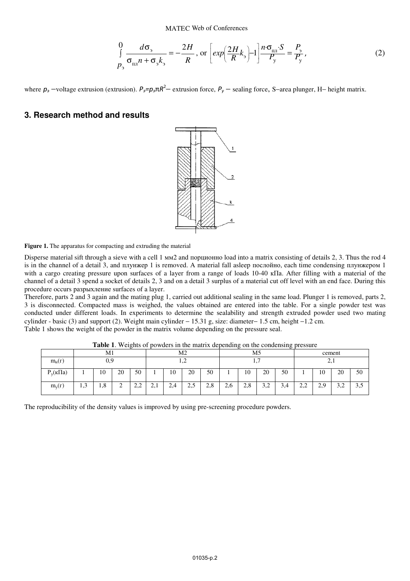$$
\int_{P_3}^{Q} \frac{d\sigma_s}{\sigma_{nn}n + \sigma_s k_s} = -\frac{2H}{R}, \text{ or } \left[ exp\left(\frac{2H}{R}k_s\right) - 1 \right] \frac{n \cdot \sigma_{nn} \cdot S}{P_y} = \frac{P_3}{P_y},\tag{2}
$$

where  $p_3$  –voltage extrusion (extrusion).  $P_3 = p_3 \pi R^2$  – extrusion force,  $P_y$  – sealing force, S–area plunger, H– height matrix.

# **3. Research method and results**



**Figure 1.** The apparatus for compacting and extruding the material

Disperse material sift through a sieve with a cell 1 мм2 and порционно load into a matrix consisting of details 2, 3. Thus the rod 4 is in the channel of a detail 3, and плунжер 1 is removed. A material fall asleep послойно, each time condensing плунжером 1 with a cargo creating pressure upon surfaces of a layer from a range of loads  $10-40$   $\text{K}$ . After filling with a material of the channel of a detail 3 spend a socket of details 2, 3 and on a detail 3 surplus of a material cut off level with an end face. During this procedure occurs разрыхление surfaces of a layer.

Therefore, parts 2 and 3 again and the mating plug 1, carried out additional sealing in the same load. Plunger 1 is removed, parts 2, 3 is disconnected. Compacted mass is weighed, the values obtained are entered into the table. For a single powder test was conducted under different loads. In experiments to determine the sealability and strength extruded powder used two mating cylinder - basic (3) and support (2). Weight main cylinder − 15.31 g, size: diameter− 1.5 cm, height −1.2 cm. Table 1 shows the weight of the powder in the matrix volume depending on the pressure seal.

|                     |                   |     |        |                                       |                |     | <b>Table 1.</b> Weights of powders in the matrix depending on the condensing pressure |     |     |     |     |     |                  |     |             |                  |
|---------------------|-------------------|-----|--------|---------------------------------------|----------------|-----|---------------------------------------------------------------------------------------|-----|-----|-----|-----|-----|------------------|-----|-------------|------------------|
|                     | Μ1                |     |        |                                       | M <sub>2</sub> |     |                                                                                       |     | M5  |     |     |     | cement           |     |             |                  |
| $m_{\rm H}(\Gamma)$ | 0.9               |     |        |                                       | ے, 1           |     |                                                                                       |     |     |     |     |     | د و ک            |     |             |                  |
| $P_v(\kappa \Pi a)$ |                   | 10  | 20     | 50                                    |                | 10  | 20                                                                                    | 50  |     | 10  | 20  | 50  |                  | 10  | 20          | 50               |
| $m_v(r)$            | $\sqrt{2}$<br>1,3 | 1,8 | ⌒<br>∠ | $\cap$<br>$\overline{a},\overline{b}$ | $\sim, \sim$   | 2,4 | 2,5                                                                                   | 2,8 | 2,6 | 2,8 | 3,2 | 3,4 | $\Omega$<br>سموت | 2,9 | 32<br>سے وب | $\gamma$<br>ر. ر |

**Table 1**. Weights of powders in the matrix depending on the condensing pressure

The reproducibility of the density values is improved by using pre-screening procedure powders.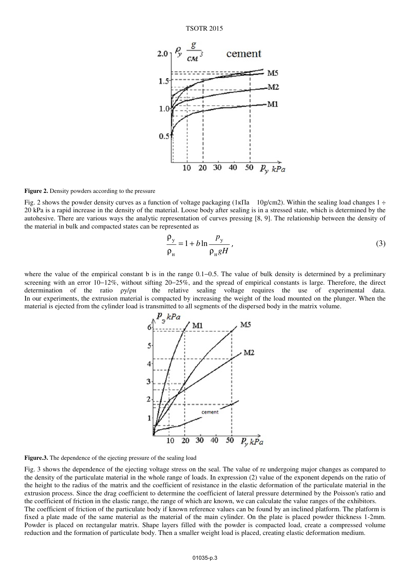

**Figure 2.** Density powders according to the pressure

Fig. 2 shows the powder density curves as a function of voltage packaging (1 $\kappa$ IIa 10g/cm2). Within the sealing load changes 1 ÷ 20 kPa is a rapid increase in the density of the material. Loose body after sealing is in a stressed state, which is determined by the autohesive. There are various ways the analytic representation of curves pressing [8, 9]. The relationship between the density of the material in bulk and compacted states can be represented as

$$
\frac{\rho_y}{\rho_{\rm H}} = 1 + b \ln \frac{p_y}{\rho_{\rm H} g H},\tag{3}
$$

where the value of the empirical constant b is in the range 0.1−0.5. The value of bulk density is determined by a preliminary screening with an error 10−12%, without sifting 20−25%, and the spread of empirical constants is large. Therefore, the direct determination of the ratio  $ρy/ρH$  the relative sealing voltage requires the use of experimenta the relative sealing voltage requires the use of experimental data. In our experiments, the extrusion material is compacted by increasing the weight of the load mounted on the plunger. When the material is ejected from the cylinder load is transmitted to all segments of the dispersed body in the matrix volume.



**Figure.3.** The dependence of the ejecting pressure of the sealing load

Fig. 3 shows the dependence of the ejecting voltage stress on the seal. The value of re undergoing major changes as compared to the density of the particulate material in the whole range of loads. In expression (2) value of the exponent depends on the ratio of the height to the radius of the matrix and the coefficient of resistance in the elastic deformation of the particulate material in the extrusion process. Since the drag coefficient to determine the coefficient of lateral pressure determined by the Poisson's ratio and the coefficient of friction in the elastic range, the range of which are known, we can calculate the value ranges of the exhibitors. The coefficient of friction of the particulate body if known reference values can be found by an inclined platform. The platform is fixed a plate made of the same material as the material of the main cylinder. On the plate is placed powder thickness 1-2mm. Powder is placed on rectangular matrix. Shape layers filled with the powder is compacted load, create a compressed volume reduction and the formation of particulate body. Then a smaller weight load is placed, creating elastic deformation medium.